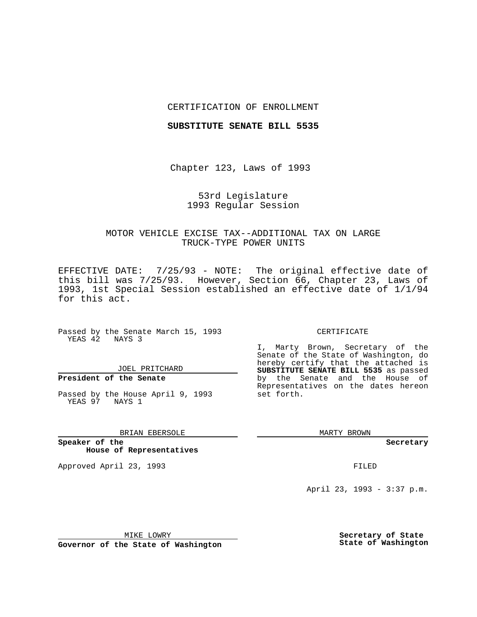#### CERTIFICATION OF ENROLLMENT

#### **SUBSTITUTE SENATE BILL 5535**

Chapter 123, Laws of 1993

### 53rd Legislature 1993 Regular Session

# MOTOR VEHICLE EXCISE TAX--ADDITIONAL TAX ON LARGE TRUCK-TYPE POWER UNITS

EFFECTIVE DATE: 7/25/93 - NOTE: The original effective date of this bill was 7/25/93. However, Section 66, Chapter 23, Laws of 1993, 1st Special Session established an effective date of 1/1/94 for this act.

Passed by the Senate March 15, 1993 YEAS 42 NAYS 3

## JOEL PRITCHARD

# **President of the Senate**

Passed by the House April 9, 1993 YEAS 97 NAYS 1

#### BRIAN EBERSOLE

**Speaker of the House of Representatives**

Approved April 23, 1993 **FILED** 

#### CERTIFICATE

I, Marty Brown, Secretary of the Senate of the State of Washington, do hereby certify that the attached is **SUBSTITUTE SENATE BILL 5535** as passed by the Senate and the House of Representatives on the dates hereon set forth.

MARTY BROWN

**Secretary**

April 23, 1993 - 3:37 p.m.

MIKE LOWRY

**Governor of the State of Washington**

**Secretary of State State of Washington**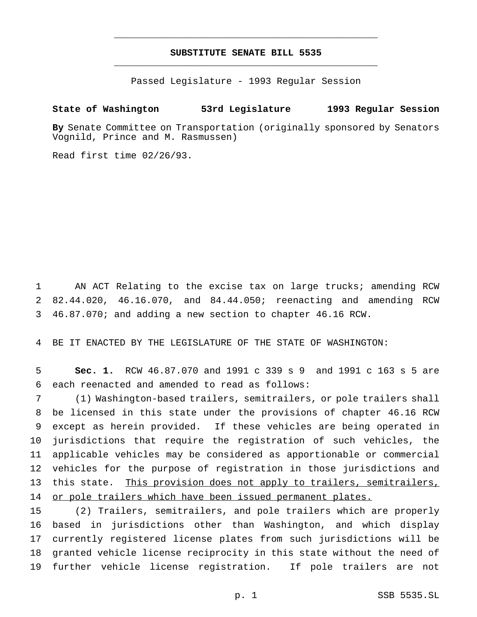# **SUBSTITUTE SENATE BILL 5535** \_\_\_\_\_\_\_\_\_\_\_\_\_\_\_\_\_\_\_\_\_\_\_\_\_\_\_\_\_\_\_\_\_\_\_\_\_\_\_\_\_\_\_\_\_\_\_

\_\_\_\_\_\_\_\_\_\_\_\_\_\_\_\_\_\_\_\_\_\_\_\_\_\_\_\_\_\_\_\_\_\_\_\_\_\_\_\_\_\_\_\_\_\_\_

Passed Legislature - 1993 Regular Session

# **State of Washington 53rd Legislature 1993 Regular Session**

**By** Senate Committee on Transportation (originally sponsored by Senators Vognild, Prince and M. Rasmussen)

Read first time 02/26/93.

 AN ACT Relating to the excise tax on large trucks; amending RCW 82.44.020, 46.16.070, and 84.44.050; reenacting and amending RCW 46.87.070; and adding a new section to chapter 46.16 RCW.

BE IT ENACTED BY THE LEGISLATURE OF THE STATE OF WASHINGTON:

 **Sec. 1.** RCW 46.87.070 and 1991 c 339 s 9 and 1991 c 163 s 5 are each reenacted and amended to read as follows:

 (1) Washington-based trailers, semitrailers, or pole trailers shall be licensed in this state under the provisions of chapter 46.16 RCW except as herein provided. If these vehicles are being operated in jurisdictions that require the registration of such vehicles, the applicable vehicles may be considered as apportionable or commercial vehicles for the purpose of registration in those jurisdictions and this state. This provision does not apply to trailers, semitrailers, 14 or pole trailers which have been issued permanent plates.

 (2) Trailers, semitrailers, and pole trailers which are properly based in jurisdictions other than Washington, and which display currently registered license plates from such jurisdictions will be granted vehicle license reciprocity in this state without the need of further vehicle license registration. If pole trailers are not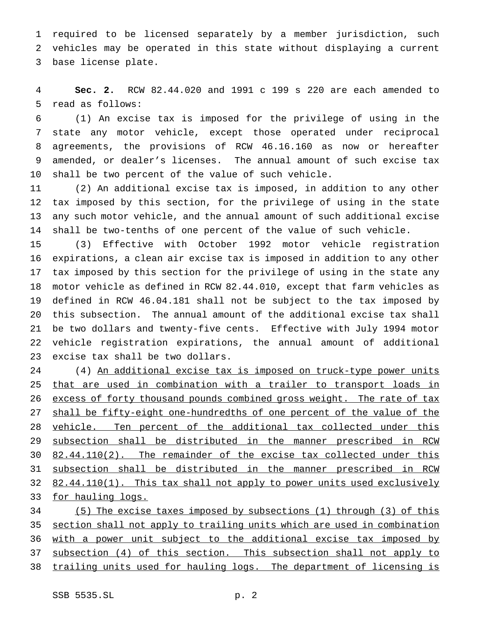required to be licensed separately by a member jurisdiction, such vehicles may be operated in this state without displaying a current base license plate.

 **Sec. 2.** RCW 82.44.020 and 1991 c 199 s 220 are each amended to read as follows:

 (1) An excise tax is imposed for the privilege of using in the state any motor vehicle, except those operated under reciprocal agreements, the provisions of RCW 46.16.160 as now or hereafter amended, or dealer's licenses. The annual amount of such excise tax shall be two percent of the value of such vehicle.

 (2) An additional excise tax is imposed, in addition to any other tax imposed by this section, for the privilege of using in the state any such motor vehicle, and the annual amount of such additional excise shall be two-tenths of one percent of the value of such vehicle.

 (3) Effective with October 1992 motor vehicle registration expirations, a clean air excise tax is imposed in addition to any other tax imposed by this section for the privilege of using in the state any motor vehicle as defined in RCW 82.44.010, except that farm vehicles as defined in RCW 46.04.181 shall not be subject to the tax imposed by this subsection. The annual amount of the additional excise tax shall be two dollars and twenty-five cents. Effective with July 1994 motor vehicle registration expirations, the annual amount of additional excise tax shall be two dollars.

 (4) An additional excise tax is imposed on truck-type power units 25 that are used in combination with a trailer to transport loads in excess of forty thousand pounds combined gross weight. The rate of tax 27 shall be fifty-eight one-hundredths of one percent of the value of the vehicle. Ten percent of the additional tax collected under this subsection shall be distributed in the manner prescribed in RCW 30 82.44.110(2). The remainder of the excise tax collected under this subsection shall be distributed in the manner prescribed in RCW 32 82.44.110(1). This tax shall not apply to power units used exclusively 33 for hauling logs.

 (5) The excise taxes imposed by subsections (1) through (3) of this section shall not apply to trailing units which are used in combination 36 with a power unit subject to the additional excise tax imposed by subsection (4) of this section. This subsection shall not apply to trailing units used for hauling logs. The department of licensing is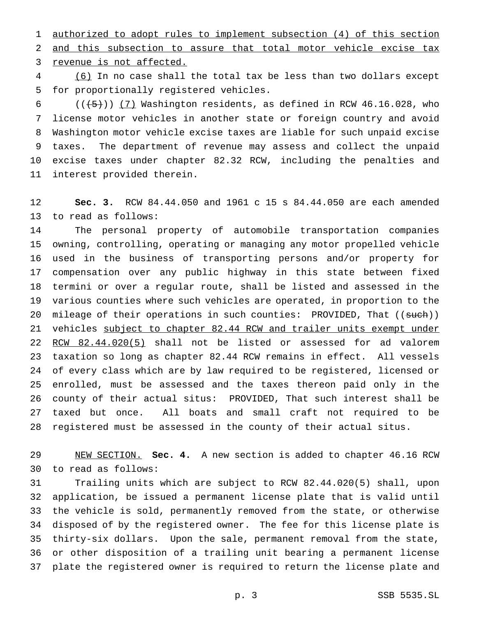authorized to adopt rules to implement subsection (4) of this section and this subsection to assure that total motor vehicle excise tax revenue is not affected.

 (6) In no case shall the total tax be less than two dollars except for proportionally registered vehicles.

 $((+5))$  (7) Washington residents, as defined in RCW 46.16.028, who license motor vehicles in another state or foreign country and avoid Washington motor vehicle excise taxes are liable for such unpaid excise taxes. The department of revenue may assess and collect the unpaid excise taxes under chapter 82.32 RCW, including the penalties and interest provided therein.

 **Sec. 3.** RCW 84.44.050 and 1961 c 15 s 84.44.050 are each amended to read as follows:

 The personal property of automobile transportation companies owning, controlling, operating or managing any motor propelled vehicle used in the business of transporting persons and/or property for compensation over any public highway in this state between fixed termini or over a regular route, shall be listed and assessed in the various counties where such vehicles are operated, in proportion to the 20 mileage of their operations in such counties: PROVIDED, That ((such)) 21 vehicles subject to chapter 82.44 RCW and trailer units exempt under RCW 82.44.020(5) shall not be listed or assessed for ad valorem taxation so long as chapter 82.44 RCW remains in effect. All vessels of every class which are by law required to be registered, licensed or enrolled, must be assessed and the taxes thereon paid only in the county of their actual situs: PROVIDED, That such interest shall be taxed but once. All boats and small craft not required to be registered must be assessed in the county of their actual situs.

 NEW SECTION. **Sec. 4.** A new section is added to chapter 46.16 RCW to read as follows:

 Trailing units which are subject to RCW 82.44.020(5) shall, upon application, be issued a permanent license plate that is valid until the vehicle is sold, permanently removed from the state, or otherwise disposed of by the registered owner. The fee for this license plate is thirty-six dollars. Upon the sale, permanent removal from the state, or other disposition of a trailing unit bearing a permanent license plate the registered owner is required to return the license plate and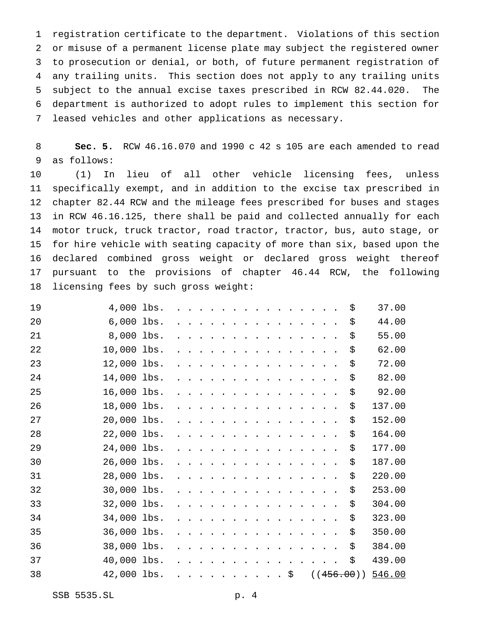registration certificate to the department. Violations of this section or misuse of a permanent license plate may subject the registered owner to prosecution or denial, or both, of future permanent registration of any trailing units. This section does not apply to any trailing units subject to the annual excise taxes prescribed in RCW 82.44.020. The department is authorized to adopt rules to implement this section for leased vehicles and other applications as necessary.

 **Sec. 5.** RCW 46.16.070 and 1990 c 42 s 105 are each amended to read as follows:

 (1) In lieu of all other vehicle licensing fees, unless specifically exempt, and in addition to the excise tax prescribed in chapter 82.44 RCW and the mileage fees prescribed for buses and stages in RCW 46.16.125, there shall be paid and collected annually for each motor truck, truck tractor, road tractor, tractor, bus, auto stage, or for hire vehicle with seating capacity of more than six, based upon the declared combined gross weight or declared gross weight thereof pursuant to the provisions of chapter 46.44 RCW, the following licensing fees by such gross weight:

| 19 | 4,000 lbs.   |  |                         |                                                                                              |  |                      |                      |                  | $\cdots$                                                                                  |      |                      |                                                 |  | \$         | 37.00  |
|----|--------------|--|-------------------------|----------------------------------------------------------------------------------------------|--|----------------------|----------------------|------------------|-------------------------------------------------------------------------------------------|------|----------------------|-------------------------------------------------|--|------------|--------|
| 20 | $6,000$ lbs. |  |                         |                                                                                              |  |                      |                      |                  |                                                                                           |      |                      | $\cdot$ $\cdot$ $\cdot$ $\cdot$ $\cdot$ $\cdot$ |  | \$         | 44.00  |
| 21 | 8,000 lbs.   |  |                         |                                                                                              |  |                      |                      |                  |                                                                                           |      | $\ddot{\phantom{1}}$ | $\ddot{\phantom{a}}$                            |  | \$         | 55.00  |
| 22 | 10,000 lbs.  |  |                         | $\ddot{\phantom{0}}$                                                                         |  |                      | $\bullet$            |                  | $\cdots$                                                                                  |      | $\ddot{\phantom{1}}$ | $\blacksquare$ .                                |  | \$         | 62.00  |
| 23 | 12,000 lbs.  |  |                         | $\blacksquare$ .                                                                             |  | $\sim$ $\sim$        | $\ddot{\phantom{0}}$ |                  | $\mathcal{L}(\mathbf{z})$ , and $\mathcal{L}(\mathbf{z})$ , and $\mathcal{L}(\mathbf{z})$ |      |                      |                                                 |  | \$         | 72.00  |
| 24 | 14,000 lbs.  |  |                         |                                                                                              |  | $\ddot{\phantom{a}}$ | $\ddot{\phantom{1}}$ |                  | $\sim$ $\sim$ $\sim$ $\sim$                                                               |      |                      |                                                 |  | \$         | 82.00  |
| 25 | 16,000 lbs.  |  |                         |                                                                                              |  |                      |                      |                  | $\cdot$ $\cdot$ $\cdot$ $\cdot$                                                           |      |                      |                                                 |  | \$         | 92.00  |
| 26 | 18,000 lbs.  |  |                         |                                                                                              |  |                      |                      |                  |                                                                                           |      |                      |                                                 |  | \$         | 137.00 |
| 27 | 20,000 lbs.  |  |                         |                                                                                              |  |                      |                      |                  | $\cdot$                                                                                   |      |                      |                                                 |  | \$         | 152.00 |
| 28 | 22,000 lbs.  |  |                         |                                                                                              |  |                      |                      |                  | $\mathbf{r}$ , $\mathbf{r}$ , $\mathbf{r}$ , $\mathbf{r}$                                 |      |                      | $\ddot{\phantom{1}}$                            |  | \$         | 164.00 |
| 29 | 24,000 lbs.  |  |                         |                                                                                              |  |                      |                      |                  |                                                                                           |      |                      |                                                 |  | \$         | 177.00 |
| 30 | 26,000 lbs.  |  |                         | $\ddot{\phantom{0}}$                                                                         |  |                      | $\ddot{\phantom{1}}$ |                  | $\cdot$ $\cdot$ $\cdot$ $\cdot$                                                           |      |                      | $\sim$                                          |  | \$         | 187.00 |
| 31 | 28,000 lbs.  |  |                         | .                                                                                            |  | $\ddot{\phantom{a}}$ | $\ddot{\phantom{1}}$ |                  | $\cdots$ $\cdots$                                                                         |      |                      | $\ddot{\phantom{1}}$                            |  | \$         | 220.00 |
| 32 | 30,000 lbs.  |  | $\cdot$ $\cdot$ $\cdot$ | $\mathcal{L}(\mathcal{A})$ , and $\mathcal{A}(\mathcal{A})$ , and $\mathcal{A}(\mathcal{A})$ |  |                      | $\ddot{\phantom{0}}$ |                  | $\mathcal{L}(\mathbf{z})$ , and $\mathcal{L}(\mathbf{z})$ , and $\mathcal{L}(\mathbf{z})$ |      |                      |                                                 |  | \$         | 253.00 |
| 33 | 32,000 lbs.  |  |                         |                                                                                              |  | $\bullet$            | $\ddot{\phantom{1}}$ |                  |                                                                                           |      |                      |                                                 |  | \$         | 304.00 |
| 34 | 34,000 lbs.  |  |                         |                                                                                              |  |                      |                      |                  |                                                                                           |      |                      |                                                 |  | \$         | 323.00 |
| 35 | 36,000 lbs.  |  |                         |                                                                                              |  |                      |                      |                  |                                                                                           |      |                      |                                                 |  | \$         | 350.00 |
| 36 | 38,000 lbs.  |  |                         |                                                                                              |  |                      |                      |                  |                                                                                           |      |                      |                                                 |  | \$         | 384.00 |
| 37 | 40,000 lbs.  |  |                         |                                                                                              |  |                      |                      |                  |                                                                                           |      |                      |                                                 |  | \$         | 439.00 |
| 38 | 42,000 lbs.  |  |                         |                                                                                              |  |                      | $\blacksquare$ .     | $\blacksquare$ . |                                                                                           | . \$ |                      |                                                 |  | ((456.00)) | 546.00 |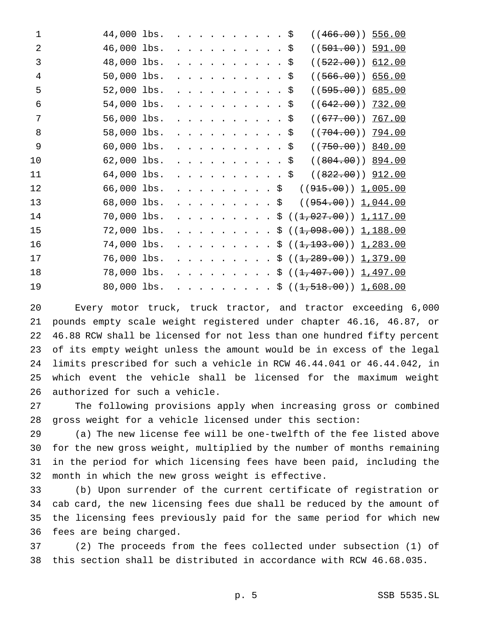| $\mathbf{1}$   | 44,000 lbs. |  |  |                                         |                   |                         |                          | . \$                      | $((466.00))$ 556.00                                  |
|----------------|-------------|--|--|-----------------------------------------|-------------------|-------------------------|--------------------------|---------------------------|------------------------------------------------------|
| $\overline{2}$ | 46,000 lbs. |  |  |                                         |                   |                         |                          |                           | \$<br>$((501.00))$ 591.00                            |
| 3              | 48,000 lbs. |  |  |                                         |                   |                         |                          | $\sim$ $\sim$             | \$<br>$((522.00))$ 612.00                            |
| 4              | 50,000 lbs. |  |  |                                         |                   |                         | $\sim$                   |                           | \$<br>$((566.00))$ 656.00                            |
| 5              | 52,000 lbs. |  |  |                                         |                   |                         | $\sim$                   |                           | \$<br>$((595.00))$ 685.00                            |
| 6              | 54,000 lbs. |  |  | $\cdots$                                |                   |                         | $\sim$                   |                           | \$<br>((642.00))<br><u>732.00</u>                    |
| 7              | 56,000 lbs. |  |  | $\cdot$                                 |                   |                         | $\sim$                   |                           | \$<br>((677.00))<br><u>767.00</u>                    |
| 8              | 58,000 lbs. |  |  | $\cdot$ $\cdot$ $\cdot$ $\cdot$         |                   |                         | $\sim$                   |                           | \$<br>$((704.00))$ 794.00                            |
| 9              | 60,000 lbs. |  |  |                                         |                   | $\ddot{\phantom{1}}$    | $\sim$                   |                           | \$<br>$((750.00))$ 840.00                            |
| 10             | 62,000 lbs. |  |  |                                         |                   |                         |                          |                           | $((804.00))$ 894.00<br>\$                            |
| 11             | 64,000 lbs. |  |  |                                         |                   |                         | $\overline{\phantom{a}}$ |                           | ((822.00)) 912.00<br>\$                              |
| 12             | 66,000 lbs. |  |  | $\mathbf{r}$                            |                   |                         |                          | $\boldsymbol{\mathsf{S}}$ | ((915.00)) 1,005.00                                  |
| 13             | 68,000 lbs. |  |  | $\mathbf{r}$ . The set of $\mathbf{r}$  |                   |                         |                          | $\boldsymbol{\mathsf{S}}$ | ((954.00)) 1,044.00                                  |
| 14             | 70,000 lbs. |  |  | $\cdot$ $\cdot$ $\cdot$ $\cdot$ $\cdot$ |                   |                         |                          |                           | \$((1,027.00)) 1,117.00                              |
| 15             | 72,000 lbs. |  |  |                                         | $\cdots$ $\cdots$ |                         |                          |                           | \$((1,098.00)) 1,188.00                              |
| 16             | 74,000 lbs. |  |  |                                         |                   | $\cdot$ $\cdot$ $\cdot$ |                          |                           | \$((1, 193.00)) 1, 283.00                            |
| 17             | 76,000 lbs. |  |  |                                         |                   | $\cdot$ $\cdot$ $\cdot$ |                          |                           | \$((1, 289.00)) 1, 379.00                            |
| 18             | 78,000 lbs. |  |  |                                         |                   | $\cdot$ $\cdot$ $\cdot$ |                          |                           | \$ (( <del>1,407.00</del> )) <u>1,497.00</u>         |
| 19             | 80,000 lbs. |  |  |                                         |                   |                         |                          |                           | $\cdot$ \$ (( <del>1,518.00</del> )) <u>1,608.00</u> |

 Every motor truck, truck tractor, and tractor exceeding 6,000 pounds empty scale weight registered under chapter 46.16, 46.87, or 46.88 RCW shall be licensed for not less than one hundred fifty percent of its empty weight unless the amount would be in excess of the legal limits prescribed for such a vehicle in RCW 46.44.041 or 46.44.042, in which event the vehicle shall be licensed for the maximum weight authorized for such a vehicle.

 The following provisions apply when increasing gross or combined gross weight for a vehicle licensed under this section:

 (a) The new license fee will be one-twelfth of the fee listed above for the new gross weight, multiplied by the number of months remaining in the period for which licensing fees have been paid, including the month in which the new gross weight is effective.

 (b) Upon surrender of the current certificate of registration or cab card, the new licensing fees due shall be reduced by the amount of the licensing fees previously paid for the same period for which new fees are being charged.

 (2) The proceeds from the fees collected under subsection (1) of this section shall be distributed in accordance with RCW 46.68.035.